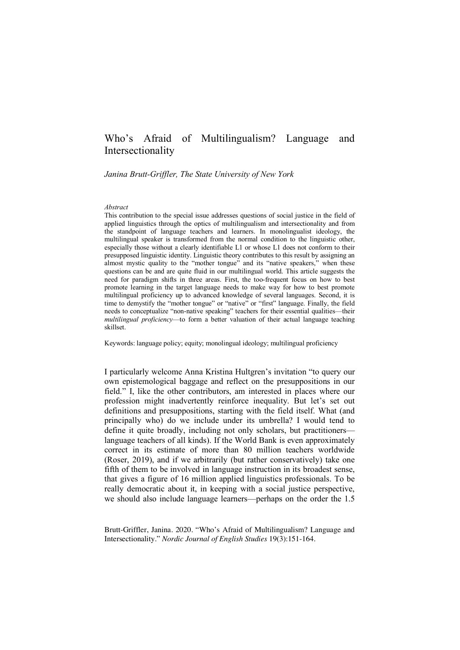# Who's Afraid of Multilingualism? Language and Intersectionality

*Janina Brutt-Griffler, The State University of New York*

#### *Abstract*

This contribution to the special issue addresses questions of social justice in the field of applied linguistics through the optics of multilingualism and intersectionality and from the standpoint of language teachers and learners. In monolingualist ideology, the multilingual speaker is transformed from the normal condition to the linguistic other, especially those without a clearly identifiable L1 or whose L1 does not conform to their presupposed linguistic identity. Linguistic theory contributes to this result by assigning an almost mystic quality to the "mother tongue" and its "native speakers," when these questions can be and are quite fluid in our multilingual world. This article suggests the need for paradigm shifts in three areas. First, the too-frequent focus on how to best promote learning in the target language needs to make way for how to best promote multilingual proficiency up to advanced knowledge of several languages. Second, it is time to demystify the "mother tongue" or "native" or "first" language. Finally, the field needs to conceptualize "non-native speaking" teachers for their essential qualities—their *multilingual proficiency*—to form a better valuation of their actual language teaching skillset.

Keywords: language policy; equity; monolingual ideology; multilingual proficiency

I particularly welcome Anna Kristina Hultgren's invitation "to query our own epistemological baggage and reflect on the presuppositions in our field." I, like the other contributors, am interested in places where our profession might inadvertently reinforce inequality. But let's set out definitions and presuppositions, starting with the field itself. What (and principally who) do we include under its umbrella? I would tend to define it quite broadly, including not only scholars, but practitioners language teachers of all kinds). If the World Bank is even approximately correct in its estimate of more than 80 million teachers worldwide (Roser, 2019), and if we arbitrarily (but rather conservatively) take one fifth of them to be involved in language instruction in its broadest sense, that gives a figure of 16 million applied linguistics professionals. To be really democratic about it, in keeping with a social justice perspective, we should also include language learners—perhaps on the order the 1.5

Brutt-Griffler, Janina. 2020. "Who's Afraid of Multilingualism? Language and Intersectionality." *Nordic Journal of English Studies* 19(3):151-164.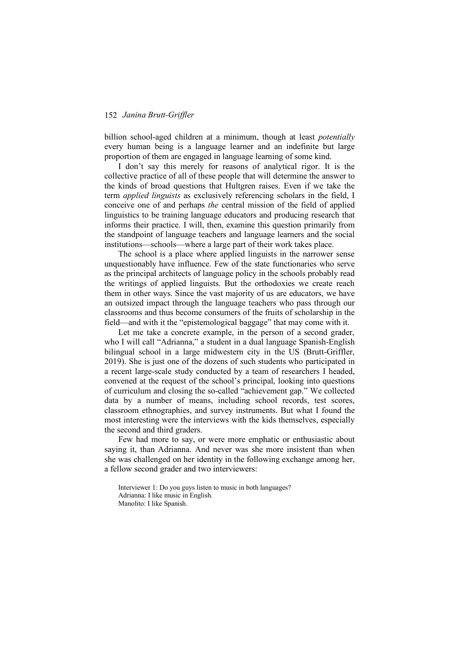billion school-aged children at a minimum, though at least *potentially* every human being is a language learner and an indefinite but large proportion of them are engaged in language learning of some kind.

I don't say this merely for reasons of analytical rigor. It is the collective practice of all of these people that will determine the answer to the kinds of broad questions that Hultgren raises. Even if we take the term *applied linguists* as exclusively referencing scholars in the field, I conceive one of and perhaps *the* central mission of the field of applied linguistics to be training language educators and producing research that informs their practice. I will, then, examine this question primarily from the standpoint of language teachers and language learners and the social institutions—schools—where a large part of their work takes place.

The school is a place where applied linguists in the narrower sense unquestionably have influence. Few of the state functionaries who serve as the principal architects of language policy in the schools probably read the writings of applied linguists. But the orthodoxies we create reach them in other ways. Since the vast majority of us are educators, we have an outsized impact through the language teachers who pass through our classrooms and thus become consumers of the fruits of scholarship in the field—and with it the "epistemological baggage" that may come with it.

Let me take a concrete example, in the person of a second grader, who I will call "Adrianna," a student in a dual language Spanish-English bilingual school in a large midwestern city in the US (Brutt-Griffler, 2019). She is just one of the dozens of such students who participated in a recent large-scale study conducted by a team of researchers I headed, convened at the request of the school's principal, looking into questions of curriculum and closing the so-called "achievement gap." We collected data by a number of means, including school records, test scores, classroom ethnographies, and survey instruments. But what I found the most interesting were the interviews with the kids themselves, especially the second and third graders.

Few had more to say, or were more emphatic or enthusiastic about saying it, than Adrianna. And never was she more insistent than when she was challenged on her identity in the following exchange among her, a fellow second grader and two interviewers:

Interviewer 1: Do you guys listen to music in both languages? Adrianna: I like music in English. Manolito: I like Spanish.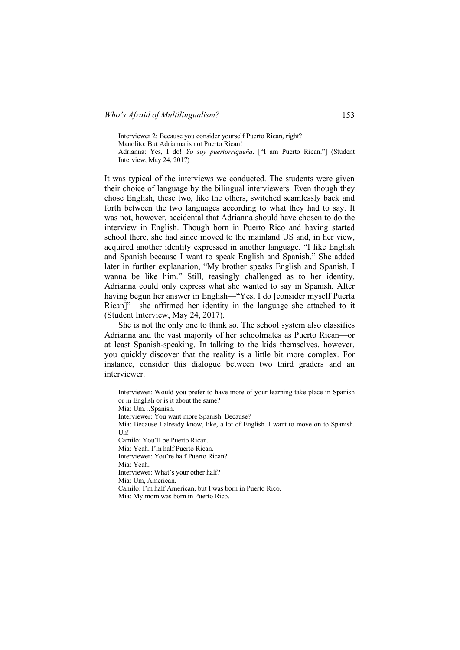Interviewer 2: Because you consider yourself Puerto Rican, right? Manolito: But Adrianna is not Puerto Rican! Adrianna: Yes, I do! *Yo soy puertorriqueña*. ["I am Puerto Rican."] (Student Interview, May 24, 2017)

It was typical of the interviews we conducted. The students were given their choice of language by the bilingual interviewers. Even though they chose English, these two, like the others, switched seamlessly back and forth between the two languages according to what they had to say. It was not, however, accidental that Adrianna should have chosen to do the interview in English. Though born in Puerto Rico and having started school there, she had since moved to the mainland US and, in her view, acquired another identity expressed in another language. "I like English and Spanish because I want to speak English and Spanish." She added later in further explanation, "My brother speaks English and Spanish. I wanna be like him." Still, teasingly challenged as to her identity, Adrianna could only express what she wanted to say in Spanish. After having begun her answer in English—"Yes, I do [consider myself Puerta Rican]"—she affirmed her identity in the language she attached to it (Student Interview, May 24, 2017).

She is not the only one to think so. The school system also classifies Adrianna and the vast majority of her schoolmates as Puerto Rican—or at least Spanish-speaking. In talking to the kids themselves, however, you quickly discover that the reality is a little bit more complex. For instance, consider this dialogue between two third graders and an interviewer.

Interviewer: Would you prefer to have more of your learning take place in Spanish or in English or is it about the same? Mia: Um…Spanish. Interviewer: You want more Spanish. Because? Mia: Because I already know, like, a lot of English. I want to move on to Spanish. Uh! Camilo: You'll be Puerto Rican. Mia: Yeah. I'm half Puerto Rican. Interviewer: You're half Puerto Rican? Mia: Yeah. Interviewer: What's your other half? Mia: Um, American. Camilo: I'm half American, but I was born in Puerto Rico. Mia: My mom was born in Puerto Rico.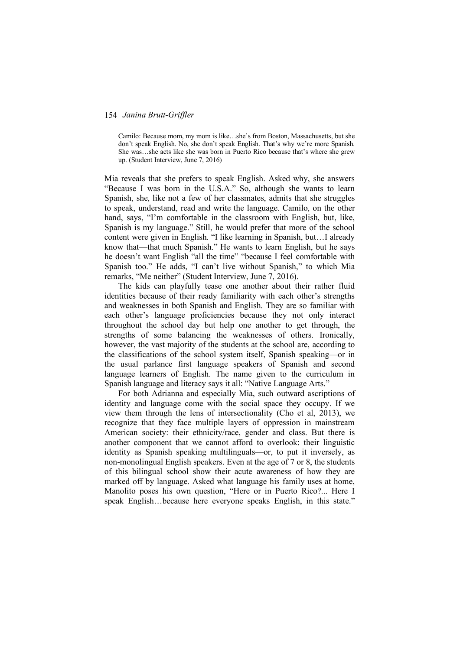Camilo: Because mom, my mom is like…she's from Boston, Massachusetts, but she don't speak English. No, she don't speak English. That's why we're more Spanish. She was…she acts like she was born in Puerto Rico because that's where she grew up. (Student Interview, June 7, 2016)

Mia reveals that she prefers to speak English. Asked why, she answers "Because I was born in the U.S.A." So, although she wants to learn Spanish, she, like not a few of her classmates, admits that she struggles to speak, understand, read and write the language. Camilo, on the other hand, says, "I'm comfortable in the classroom with English, but, like, Spanish is my language." Still, he would prefer that more of the school content were given in English. "I like learning in Spanish, but…I already know that—that much Spanish." He wants to learn English, but he says he doesn't want English "all the time" "because I feel comfortable with Spanish too." He adds, "I can't live without Spanish," to which Mia remarks, "Me neither" (Student Interview, June 7, 2016).

The kids can playfully tease one another about their rather fluid identities because of their ready familiarity with each other's strengths and weaknesses in both Spanish and English. They are so familiar with each other's language proficiencies because they not only interact throughout the school day but help one another to get through, the strengths of some balancing the weaknesses of others. Ironically, however, the vast majority of the students at the school are, according to the classifications of the school system itself, Spanish speaking—or in the usual parlance first language speakers of Spanish and second language learners of English. The name given to the curriculum in Spanish language and literacy says it all: "Native Language Arts."

For both Adrianna and especially Mia, such outward ascriptions of identity and language come with the social space they occupy. If we view them through the lens of intersectionality (Cho et al, 2013), we recognize that they face multiple layers of oppression in mainstream American society: their ethnicity/race, gender and class. But there is another component that we cannot afford to overlook: their linguistic identity as Spanish speaking multilinguals—or, to put it inversely, as non-monolingual English speakers. Even at the age of 7 or 8, the students of this bilingual school show their acute awareness of how they are marked off by language. Asked what language his family uses at home, Manolito poses his own question, "Here or in Puerto Rico?... Here I speak English…because here everyone speaks English, in this state."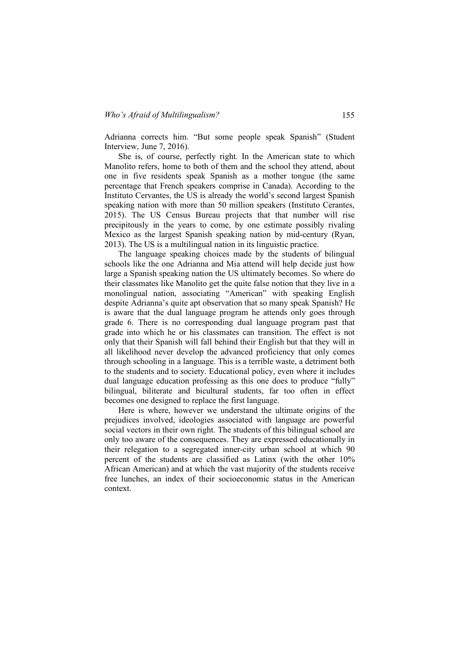Adrianna corrects him. "But some people speak Spanish" (Student Interview, June 7, 2016).

She is, of course, perfectly right. In the American state to which Manolito refers, home to both of them and the school they attend, about one in five residents speak Spanish as a mother tongue (the same percentage that French speakers comprise in Canada). According to the Instituto Cervantes, the US is already the world's second largest Spanish speaking nation with more than 50 million speakers (Instituto Cerantes, 2015). The US Census Bureau projects that that number will rise precipitously in the years to come, by one estimate possibly rivaling Mexico as the largest Spanish speaking nation by mid-century (Ryan, 2013). The US is a multilingual nation in its linguistic practice.

The language speaking choices made by the students of bilingual schools like the one Adrianna and Mia attend will help decide just how large a Spanish speaking nation the US ultimately becomes. So where do their classmates like Manolito get the quite false notion that they live in a monolingual nation, associating "American" with speaking English despite Adrianna's quite apt observation that so many speak Spanish? He is aware that the dual language program he attends only goes through grade 6. There is no corresponding dual language program past that grade into which he or his classmates can transition. The effect is not only that their Spanish will fall behind their English but that they will in all likelihood never develop the advanced proficiency that only comes through schooling in a language. This is a terrible waste, a detriment both to the students and to society. Educational policy, even where it includes dual language education professing as this one does to produce "fully" bilingual, biliterate and bicultural students, far too often in effect becomes one designed to replace the first language.

Here is where, however we understand the ultimate origins of the prejudices involved, ideologies associated with language are powerful social vectors in their own right. The students of this bilingual school are only too aware of the consequences. They are expressed educationally in their relegation to a segregated inner-city urban school at which 90 percent of the students are classified as Latinx (with the other 10% African American) and at which the vast majority of the students receive free lunches, an index of their socioeconomic status in the American context.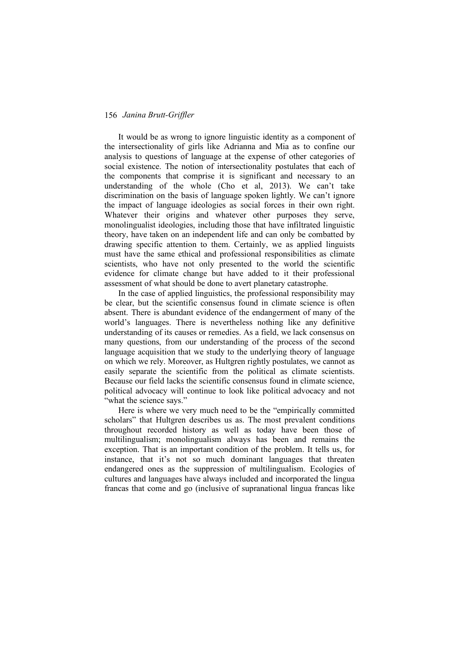It would be as wrong to ignore linguistic identity as a component of the intersectionality of girls like Adrianna and Mia as to confine our analysis to questions of language at the expense of other categories of social existence. The notion of intersectionality postulates that each of the components that comprise it is significant and necessary to an understanding of the whole (Cho et al, 2013). We can't take discrimination on the basis of language spoken lightly. We can't ignore the impact of language ideologies as social forces in their own right. Whatever their origins and whatever other purposes they serve, monolingualist ideologies, including those that have infiltrated linguistic theory, have taken on an independent life and can only be combatted by drawing specific attention to them. Certainly, we as applied linguists must have the same ethical and professional responsibilities as climate scientists, who have not only presented to the world the scientific evidence for climate change but have added to it their professional assessment of what should be done to avert planetary catastrophe.

In the case of applied linguistics, the professional responsibility may be clear, but the scientific consensus found in climate science is often absent. There is abundant evidence of the endangerment of many of the world's languages. There is nevertheless nothing like any definitive understanding of its causes or remedies. As a field, we lack consensus on many questions, from our understanding of the process of the second language acquisition that we study to the underlying theory of language on which we rely. Moreover, as Hultgren rightly postulates, we cannot as easily separate the scientific from the political as climate scientists. Because our field lacks the scientific consensus found in climate science, political advocacy will continue to look like political advocacy and not "what the science says."

Here is where we very much need to be the "empirically committed scholars" that Hultgren describes us as. The most prevalent conditions throughout recorded history as well as today have been those of multilingualism; monolingualism always has been and remains the exception. That is an important condition of the problem. It tells us, for instance, that it's not so much dominant languages that threaten endangered ones as the suppression of multilingualism. Ecologies of cultures and languages have always included and incorporated the lingua francas that come and go (inclusive of supranational lingua francas like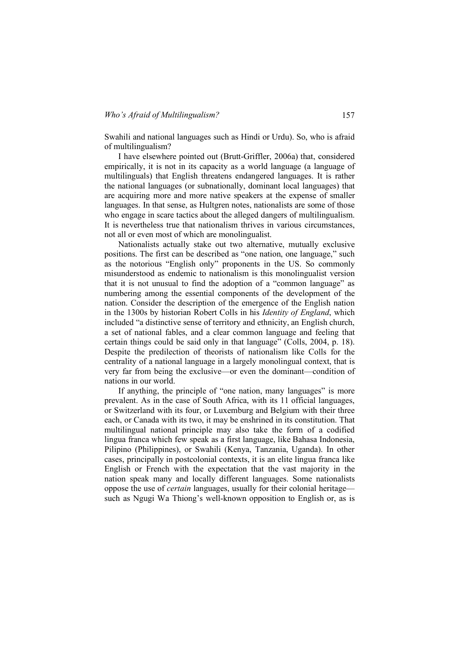Swahili and national languages such as Hindi or Urdu). So, who is afraid of multilingualism?

I have elsewhere pointed out (Brutt-Griffler, 2006a) that, considered empirically, it is not in its capacity as a world language (a language of multilinguals) that English threatens endangered languages. It is rather the national languages (or subnationally, dominant local languages) that are acquiring more and more native speakers at the expense of smaller languages. In that sense, as Hultgren notes, nationalists are some of those who engage in scare tactics about the alleged dangers of multilingualism. It is nevertheless true that nationalism thrives in various circumstances, not all or even most of which are monolingualist.

Nationalists actually stake out two alternative, mutually exclusive positions. The first can be described as "one nation, one language," such as the notorious "English only" proponents in the US. So commonly misunderstood as endemic to nationalism is this monolingualist version that it is not unusual to find the adoption of a "common language" as numbering among the essential components of the development of the nation. Consider the description of the emergence of the English nation in the 1300s by historian Robert Colls in his *Identity of England*, which included "a distinctive sense of territory and ethnicity, an English church, a set of national fables, and a clear common language and feeling that certain things could be said only in that language" (Colls, 2004, p. 18). Despite the predilection of theorists of nationalism like Colls for the centrality of a national language in a largely monolingual context, that is very far from being the exclusive—or even the dominant—condition of nations in our world.

If anything, the principle of "one nation, many languages" is more prevalent. As in the case of South Africa, with its 11 official languages, or Switzerland with its four, or Luxemburg and Belgium with their three each, or Canada with its two, it may be enshrined in its constitution. That multilingual national principle may also take the form of a codified lingua franca which few speak as a first language, like Bahasa Indonesia, Pilipino (Philippines), or Swahili (Kenya, Tanzania, Uganda). In other cases, principally in postcolonial contexts, it is an elite lingua franca like English or French with the expectation that the vast majority in the nation speak many and locally different languages. Some nationalists oppose the use of *certain* languages, usually for their colonial heritage such as Ngugi Wa Thiong's well-known opposition to English or, as is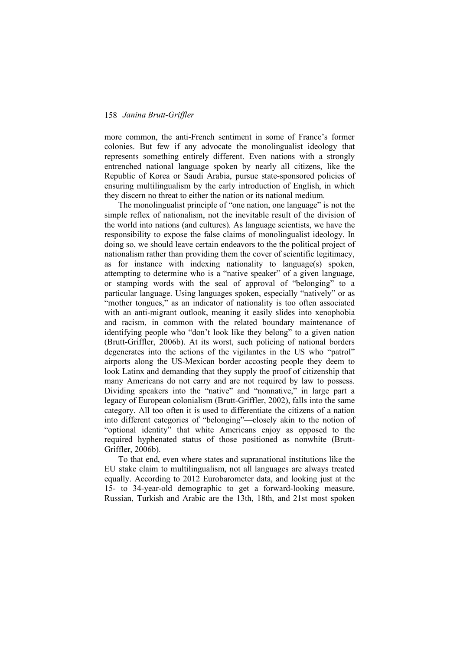more common, the anti-French sentiment in some of France's former colonies. But few if any advocate the monolingualist ideology that represents something entirely different. Even nations with a strongly entrenched national language spoken by nearly all citizens, like the Republic of Korea or Saudi Arabia, pursue state-sponsored policies of ensuring multilingualism by the early introduction of English, in which they discern no threat to either the nation or its national medium.

The monolingualist principle of "one nation, one language" is not the simple reflex of nationalism, not the inevitable result of the division of the world into nations (and cultures). As language scientists, we have the responsibility to expose the false claims of monolingualist ideology. In doing so, we should leave certain endeavors to the the political project of nationalism rather than providing them the cover of scientific legitimacy, as for instance with indexing nationality to language(s) spoken, attempting to determine who is a "native speaker" of a given language, or stamping words with the seal of approval of "belonging" to a particular language. Using languages spoken, especially "natively" or as "mother tongues," as an indicator of nationality is too often associated with an anti-migrant outlook, meaning it easily slides into xenophobia and racism, in common with the related boundary maintenance of identifying people who "don't look like they belong" to a given nation (Brutt-Griffler, 2006b). At its worst, such policing of national borders degenerates into the actions of the vigilantes in the US who "patrol" airports along the US-Mexican border accosting people they deem to look Latinx and demanding that they supply the proof of citizenship that many Americans do not carry and are not required by law to possess. Dividing speakers into the "native" and "nonnative," in large part a legacy of European colonialism (Brutt-Griffler, 2002), falls into the same category. All too often it is used to differentiate the citizens of a nation into different categories of "belonging"—closely akin to the notion of "optional identity" that white Americans enjoy as opposed to the required hyphenated status of those positioned as nonwhite (Brutt-Griffler, 2006b).

To that end, even where states and supranational institutions like the EU stake claim to multilingualism, not all languages are always treated equally. According to 2012 Eurobarometer data, and looking just at the 15- to 34-year-old demographic to get a forward-looking measure, Russian, Turkish and Arabic are the 13th, 18th, and 21st most spoken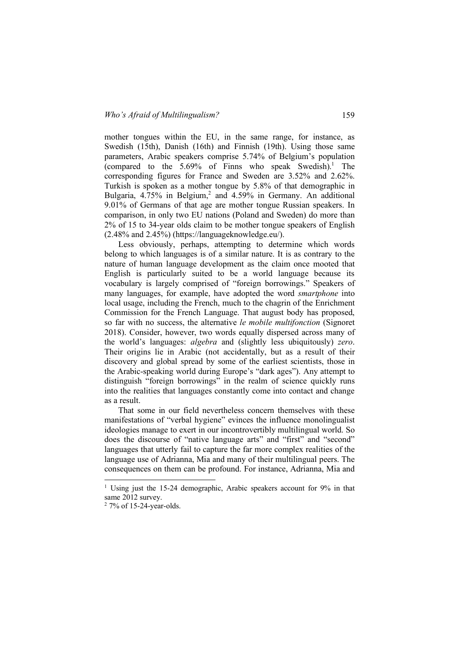mother tongues within the EU, in the same range, for instance, as Swedish (15th), Danish (16th) and Finnish (19th). Using those same parameters, Arabic speakers comprise 5.74% of Belgium's population (compared to the  $5.69\%$  of Finns who speak Swedish).<sup>1</sup> The corresponding figures for France and Sweden are 3.52% and 2.62%. Turkish is spoken as a mother tongue by 5.8% of that demographic in Bulgaria, 4.75% in Belgium,<sup>2</sup> and 4.59% in Germany. An additional 9.01% of Germans of that age are mother tongue Russian speakers. In comparison, in only two EU nations (Poland and Sweden) do more than 2% of 15 to 34-year olds claim to be mother tongue speakers of English (2.48% and 2.45%) (https://languageknowledge.eu/).

Less obviously, perhaps, attempting to determine which words belong to which languages is of a similar nature. It is as contrary to the nature of human language development as the claim once mooted that English is particularly suited to be a world language because its vocabulary is largely comprised of "foreign borrowings." Speakers of many languages, for example, have adopted the word *smartphone* into local usage, including the French, much to the chagrin of the Enrichment Commission for the French Language. That august body has proposed, so far with no success, the alternative *le mobile multifonction* (Signoret 2018). Consider, however, two words equally dispersed across many of the world's languages: *algebra* and (slightly less ubiquitously) *zero*. Their origins lie in Arabic (not accidentally, but as a result of their discovery and global spread by some of the earliest scientists, those in the Arabic-speaking world during Europe's "dark ages"). Any attempt to distinguish "foreign borrowings" in the realm of science quickly runs into the realities that languages constantly come into contact and change as a result.

That some in our field nevertheless concern themselves with these manifestations of "verbal hygiene" evinces the influence monolingualist ideologies manage to exert in our incontrovertibly multilingual world. So does the discourse of "native language arts" and "first" and "second" languages that utterly fail to capture the far more complex realities of the language use of Adrianna, Mia and many of their multilingual peers. The consequences on them can be profound. For instance, Adrianna, Mia and

<sup>&</sup>lt;sup>1</sup> Using just the 15-24 demographic, Arabic speakers account for 9% in that same 2012 survey.

<sup>2</sup> 7% of 15-24-year-olds.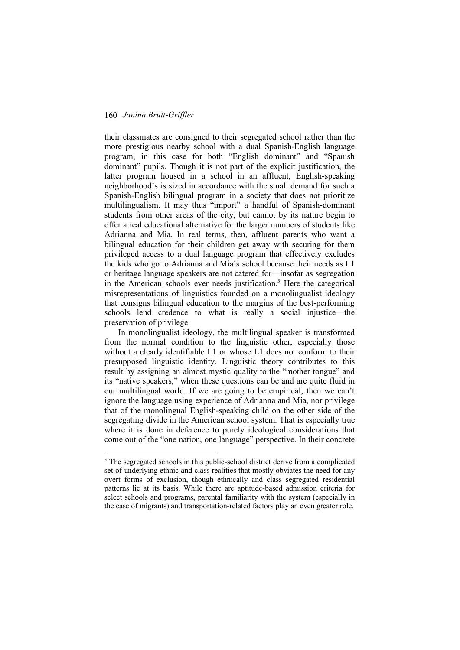their classmates are consigned to their segregated school rather than the more prestigious nearby school with a dual Spanish-English language program, in this case for both "English dominant" and "Spanish dominant" pupils. Though it is not part of the explicit justification, the latter program housed in a school in an affluent, English-speaking neighborhood's is sized in accordance with the small demand for such a Spanish-English bilingual program in a society that does not prioritize multilingualism. It may thus "import" a handful of Spanish-dominant students from other areas of the city, but cannot by its nature begin to offer a real educational alternative for the larger numbers of students like Adrianna and Mia. In real terms, then, affluent parents who want a bilingual education for their children get away with securing for them privileged access to a dual language program that effectively excludes the kids who go to Adrianna and Mia's school because their needs as L1 or heritage language speakers are not catered for—insofar as segregation in the American schools ever needs justification.<sup>3</sup> Here the categorical misrepresentations of linguistics founded on a monolingualist ideology that consigns bilingual education to the margins of the best-performing schools lend credence to what is really a social injustice—the preservation of privilege.

In monolingualist ideology, the multilingual speaker is transformed from the normal condition to the linguistic other, especially those without a clearly identifiable L1 or whose L1 does not conform to their presupposed linguistic identity. Linguistic theory contributes to this result by assigning an almost mystic quality to the "mother tongue" and its "native speakers," when these questions can be and are quite fluid in our multilingual world. If we are going to be empirical, then we can't ignore the language using experience of Adrianna and Mia, nor privilege that of the monolingual English-speaking child on the other side of the segregating divide in the American school system. That is especially true where it is done in deference to purely ideological considerations that come out of the "one nation, one language" perspective. In their concrete

<sup>&</sup>lt;sup>3</sup> The segregated schools in this public-school district derive from a complicated set of underlying ethnic and class realities that mostly obviates the need for any overt forms of exclusion, though ethnically and class segregated residential patterns lie at its basis. While there are aptitude-based admission criteria for select schools and programs, parental familiarity with the system (especially in the case of migrants) and transportation-related factors play an even greater role.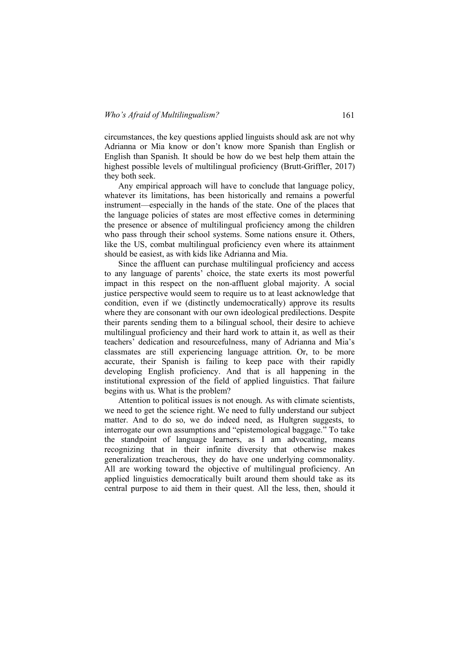circumstances, the key questions applied linguists should ask are not why Adrianna or Mia know or don't know more Spanish than English or English than Spanish. It should be how do we best help them attain the highest possible levels of multilingual proficiency (Brutt-Griffler, 2017) they both seek.

Any empirical approach will have to conclude that language policy, whatever its limitations, has been historically and remains a powerful instrument—especially in the hands of the state. One of the places that the language policies of states are most effective comes in determining the presence or absence of multilingual proficiency among the children who pass through their school systems. Some nations ensure it. Others, like the US, combat multilingual proficiency even where its attainment should be easiest, as with kids like Adrianna and Mia.

Since the affluent can purchase multilingual proficiency and access to any language of parents' choice, the state exerts its most powerful impact in this respect on the non-affluent global majority. A social justice perspective would seem to require us to at least acknowledge that condition, even if we (distinctly undemocratically) approve its results where they are consonant with our own ideological predilections. Despite their parents sending them to a bilingual school, their desire to achieve multilingual proficiency and their hard work to attain it, as well as their teachers' dedication and resourcefulness, many of Adrianna and Mia's classmates are still experiencing language attrition. Or, to be more accurate, their Spanish is failing to keep pace with their rapidly developing English proficiency. And that is all happening in the institutional expression of the field of applied linguistics. That failure begins with us. What is the problem?

Attention to political issues is not enough. As with climate scientists, we need to get the science right. We need to fully understand our subject matter. And to do so, we do indeed need, as Hultgren suggests, to interrogate our own assumptions and "epistemological baggage." To take the standpoint of language learners, as I am advocating, means recognizing that in their infinite diversity that otherwise makes generalization treacherous, they do have one underlying commonality. All are working toward the objective of multilingual proficiency. An applied linguistics democratically built around them should take as its central purpose to aid them in their quest. All the less, then, should it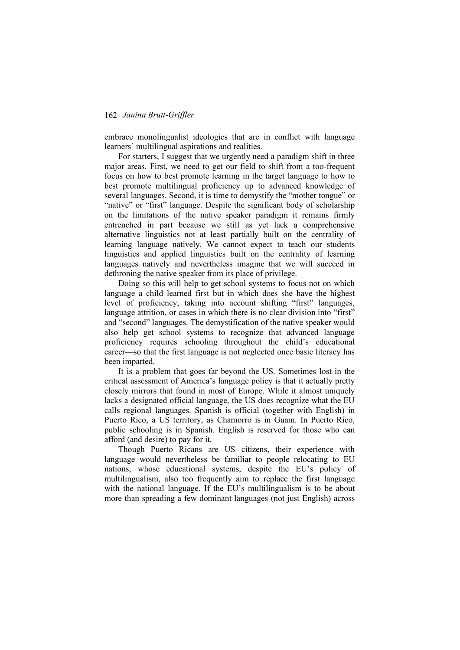embrace monolingualist ideologies that are in conflict with language learners' multilingual aspirations and realities.

For starters, I suggest that we urgently need a paradigm shift in three major areas. First, we need to get our field to shift from a too-frequent focus on how to best promote learning in the target language to how to best promote multilingual proficiency up to advanced knowledge of several languages. Second, it is time to demystify the "mother tongue" or "native" or "first" language. Despite the significant body of scholarship on the limitations of the native speaker paradigm it remains firmly entrenched in part because we still as yet lack a comprehensive alternative linguistics not at least partially built on the centrality of learning language natively. We cannot expect to teach our students linguistics and applied linguistics built on the centrality of learning languages natively and nevertheless imagine that we will succeed in dethroning the native speaker from its place of privilege.

Doing so this will help to get school systems to focus not on which language a child learned first but in which does she have the highest level of proficiency, taking into account shifting "first" languages, language attrition, or cases in which there is no clear division into "first" and "second" languages. The demystification of the native speaker would also help get school systems to recognize that advanced language proficiency requires schooling throughout the child's educational career—so that the first language is not neglected once basic literacy has been imparted.

It is a problem that goes far beyond the US. Sometimes lost in the critical assessment of America's language policy is that it actually pretty closely mirrors that found in most of Europe. While it almost uniquely lacks a designated official language, the US does recognize what the EU calls regional languages. Spanish is official (together with English) in Puerto Rico, a US territory, as Chamorro is in Guam. In Puerto Rico, public schooling is in Spanish. English is reserved for those who can afford (and desire) to pay for it.

Though Puerto Ricans are US citizens, their experience with language would nevertheless be familiar to people relocating to EU nations, whose educational systems, despite the EU's policy of multilingualism, also too frequently aim to replace the first language with the national language. If the EU's multilingualism is to be about more than spreading a few dominant languages (not just English) across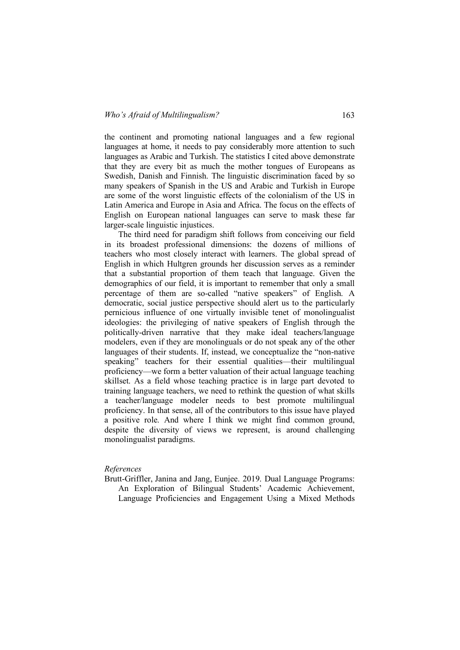the continent and promoting national languages and a few regional languages at home, it needs to pay considerably more attention to such languages as Arabic and Turkish. The statistics I cited above demonstrate that they are every bit as much the mother tongues of Europeans as Swedish, Danish and Finnish. The linguistic discrimination faced by so many speakers of Spanish in the US and Arabic and Turkish in Europe are some of the worst linguistic effects of the colonialism of the US in Latin America and Europe in Asia and Africa. The focus on the effects of English on European national languages can serve to mask these far larger-scale linguistic injustices.

The third need for paradigm shift follows from conceiving our field in its broadest professional dimensions: the dozens of millions of teachers who most closely interact with learners. The global spread of English in which Hultgren grounds her discussion serves as a reminder that a substantial proportion of them teach that language. Given the demographics of our field, it is important to remember that only a small percentage of them are so-called "native speakers" of English. A democratic, social justice perspective should alert us to the particularly pernicious influence of one virtually invisible tenet of monolingualist ideologies: the privileging of native speakers of English through the politically-driven narrative that they make ideal teachers/language modelers, even if they are monolinguals or do not speak any of the other languages of their students. If, instead, we conceptualize the "non-native speaking" teachers for their essential qualities—their multilingual proficiency—we form a better valuation of their actual language teaching skillset. As a field whose teaching practice is in large part devoted to training language teachers, we need to rethink the question of what skills a teacher/language modeler needs to best promote multilingual proficiency. In that sense, all of the contributors to this issue have played a positive role. And where I think we might find common ground, despite the diversity of views we represent, is around challenging monolingualist paradigms.

#### *References*

Brutt-Griffler, Janina and Jang, Eunjee. 2019. Dual Language Programs: An Exploration of Bilingual Students' Academic Achievement, Language Proficiencies and Engagement Using a Mixed Methods